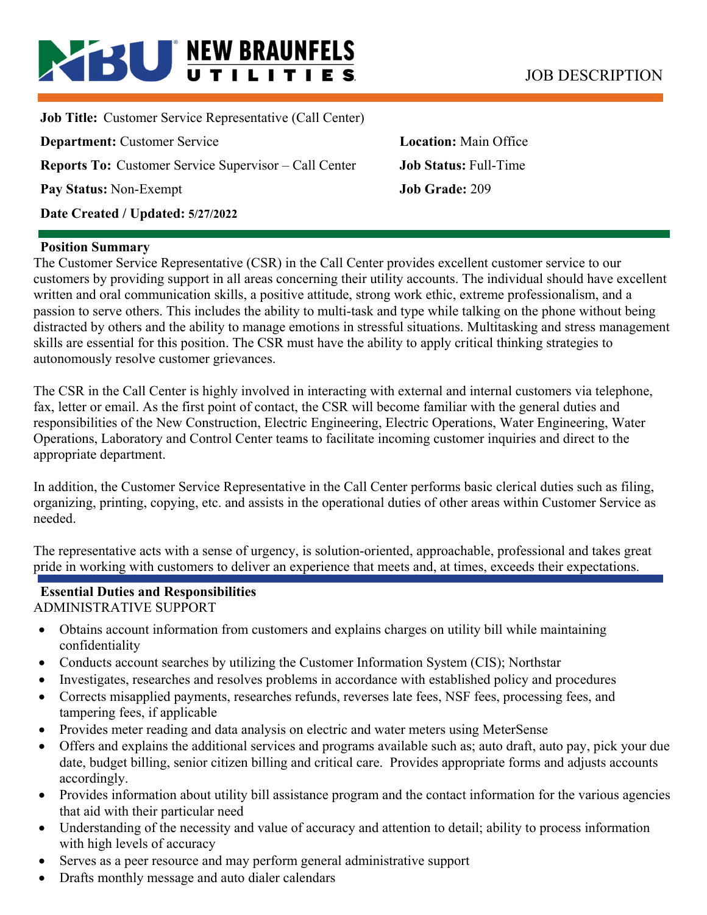# **BU NEW BRAUNFELS** JOB DESCRIPTION

**Job Title:** Customer Service Representative (Call Center) **Department:** Customer Service **Location:** Main Office **Reports To:** Customer Service Supervisor – Call Center **Job Status:** Full-Time **Pay Status:** Non-Exempt **Job Grade:** 209 **Date Created / Updated: 5/27/2022** 

**Position Summary** 

The Customer Service Representative (CSR) in the Call Center provides excellent customer service to our customers by providing support in all areas concerning their utility accounts. The individual should have excellent written and oral communication skills, a positive attitude, strong work ethic, extreme professionalism, and a passion to serve others. This includes the ability to multi-task and type while talking on the phone without being distracted by others and the ability to manage emotions in stressful situations. Multitasking and stress management skills are essential for this position. The CSR must have the ability to apply critical thinking strategies to autonomously resolve customer grievances.

The CSR in the Call Center is highly involved in interacting with external and internal customers via telephone, fax, letter or email. As the first point of contact, the CSR will become familiar with the general duties and responsibilities of the New Construction, Electric Engineering, Electric Operations, Water Engineering, Water Operations, Laboratory and Control Center teams to facilitate incoming customer inquiries and direct to the appropriate department.

In addition, the Customer Service Representative in the Call Center performs basic clerical duties such as filing, organizing, printing, copying, etc. and assists in the operational duties of other areas within Customer Service as needed.

The representative acts with a sense of urgency, is solution-oriented, approachable, professional and takes great pride in working with customers to deliver an experience that meets and, at times, exceeds their expectations.

# **Essential Duties and Responsibilities**

ADMINISTRATIVE SUPPORT

- Obtains account information from customers and explains charges on utility bill while maintaining confidentiality
- Conducts account searches by utilizing the Customer Information System (CIS); Northstar
- Investigates, researches and resolves problems in accordance with established policy and procedures
- Corrects misapplied payments, researches refunds, reverses late fees, NSF fees, processing fees, and tampering fees, if applicable
- Provides meter reading and data analysis on electric and water meters using MeterSense
- Offers and explains the additional services and programs available such as; auto draft, auto pay, pick your due date, budget billing, senior citizen billing and critical care. Provides appropriate forms and adjusts accounts accordingly.
- Provides information about utility bill assistance program and the contact information for the various agencies that aid with their particular need
- Understanding of the necessity and value of accuracy and attention to detail; ability to process information with high levels of accuracy
- Serves as a peer resource and may perform general administrative support
- Drafts monthly message and auto dialer calendars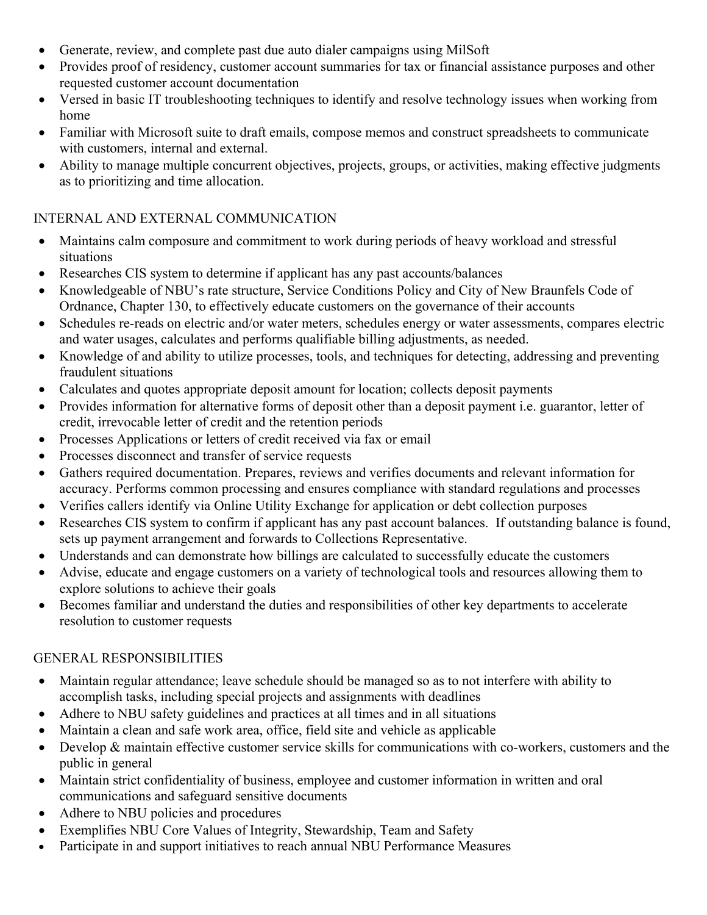- Generate, review, and complete past due auto dialer campaigns using MilSoft
- Provides proof of residency, customer account summaries for tax or financial assistance purposes and other requested customer account documentation
- Versed in basic IT troubleshooting techniques to identify and resolve technology issues when working from home
- Familiar with Microsoft suite to draft emails, compose memos and construct spreadsheets to communicate with customers, internal and external.
- Ability to manage multiple concurrent objectives, projects, groups, or activities, making effective judgments as to prioritizing and time allocation.

#### INTERNAL AND EXTERNAL COMMUNICATION

- Maintains calm composure and commitment to work during periods of heavy workload and stressful situations
- Researches CIS system to determine if applicant has any past accounts/balances
- Knowledgeable of NBU's rate structure, Service Conditions Policy and City of New Braunfels Code of Ordnance, Chapter 130, to effectively educate customers on the governance of their accounts
- Schedules re-reads on electric and/or water meters, schedules energy or water assessments, compares electric and water usages, calculates and performs qualifiable billing adjustments, as needed.
- Knowledge of and ability to utilize processes, tools, and techniques for detecting, addressing and preventing fraudulent situations
- Calculates and quotes appropriate deposit amount for location; collects deposit payments
- Provides information for alternative forms of deposit other than a deposit payment i.e. guarantor, letter of credit, irrevocable letter of credit and the retention periods
- Processes Applications or letters of credit received via fax or email
- Processes disconnect and transfer of service requests
- Gathers required documentation. Prepares, reviews and verifies documents and relevant information for accuracy. Performs common processing and ensures compliance with standard regulations and processes
- Verifies callers identify via Online Utility Exchange for application or debt collection purposes
- Researches CIS system to confirm if applicant has any past account balances. If outstanding balance is found, sets up payment arrangement and forwards to Collections Representative.
- Understands and can demonstrate how billings are calculated to successfully educate the customers
- Advise, educate and engage customers on a variety of technological tools and resources allowing them to explore solutions to achieve their goals
- Becomes familiar and understand the duties and responsibilities of other key departments to accelerate resolution to customer requests

## GENERAL RESPONSIBILITIES

- Maintain regular attendance; leave schedule should be managed so as to not interfere with ability to accomplish tasks, including special projects and assignments with deadlines
- Adhere to NBU safety guidelines and practices at all times and in all situations
- Maintain a clean and safe work area, office, field site and vehicle as applicable
- Develop & maintain effective customer service skills for communications with co-workers, customers and the public in general
- Maintain strict confidentiality of business, employee and customer information in written and oral communications and safeguard sensitive documents
- Adhere to NBU policies and procedures
- Exemplifies NBU Core Values of Integrity, Stewardship, Team and Safety
- Participate in and support initiatives to reach annual NBU Performance Measures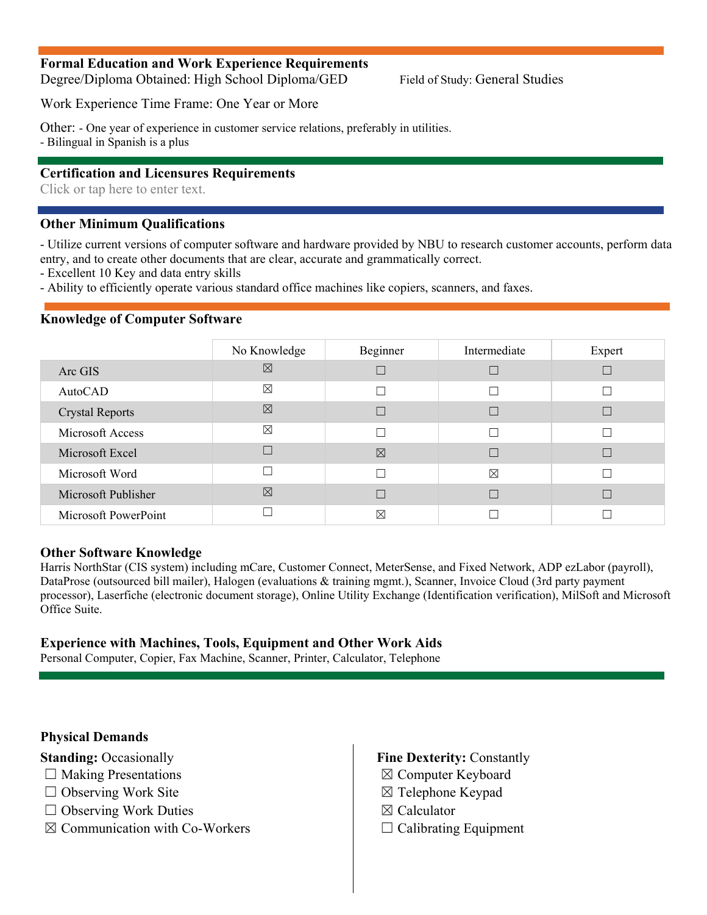#### **Formal Education and Work Experience Requirements**

Degree/Diploma Obtained: High School Diploma/GED Field of Study: General Studies

Work Experience Time Frame: One Year or More

Other: - One year of experience in customer service relations, preferably in utilities.

- Bilingual in Spanish is a plus

#### **Certification and Licensures Requirements**

Click or tap here to enter text.

#### **Other Minimum Qualifications**

- Utilize current versions of computer software and hardware provided by NBU to research customer accounts, perform data entry, and to create other documents that are clear, accurate and grammatically correct.

- Excellent 10 Key and data entry skills

- Ability to efficiently operate various standard office machines like copiers, scanners, and faxes.

#### **Knowledge of Computer Software**

|                        | No Knowledge | Beginner    | Intermediate | Expert |
|------------------------|--------------|-------------|--------------|--------|
| Arc GIS                | ⊠            |             |              |        |
| AutoCAD                | $\boxtimes$  |             | Г            |        |
| <b>Crystal Reports</b> | ⊠            |             |              |        |
| Microsoft Access       | $\boxtimes$  |             | Г            |        |
| Microsoft Excel        |              | $\boxtimes$ |              |        |
| Microsoft Word         |              |             | $\boxtimes$  |        |
| Microsoft Publisher    | 冈            |             |              |        |
| Microsoft PowerPoint   |              | $\boxtimes$ |              |        |

#### **Other Software Knowledge**

Harris NorthStar (CIS system) including mCare, Customer Connect, MeterSense, and Fixed Network, ADP ezLabor (payroll), DataProse (outsourced bill mailer), Halogen (evaluations & training mgmt.), Scanner, Invoice Cloud (3rd party payment processor), Laserfiche (electronic document storage), Online Utility Exchange (Identification verification), MilSoft and Microsoft Office Suite.

#### **Experience with Machines, Tools, Equipment and Other Work Aids**

Personal Computer, Copier, Fax Machine, Scanner, Printer, Calculator, Telephone

#### **Physical Demands**

**Standing: Occasionally** 

- $\Box$  Making Presentations
- $\Box$  Observing Work Site
- □ Observing Work Duties
- $\boxtimes$  Communication with Co-Workers
- **Fine Dexterity:** Constantly
- ☒ Computer Keyboard
- ☒ Telephone Keypad
- ☒ Calculator
- $\Box$  Calibrating Equipment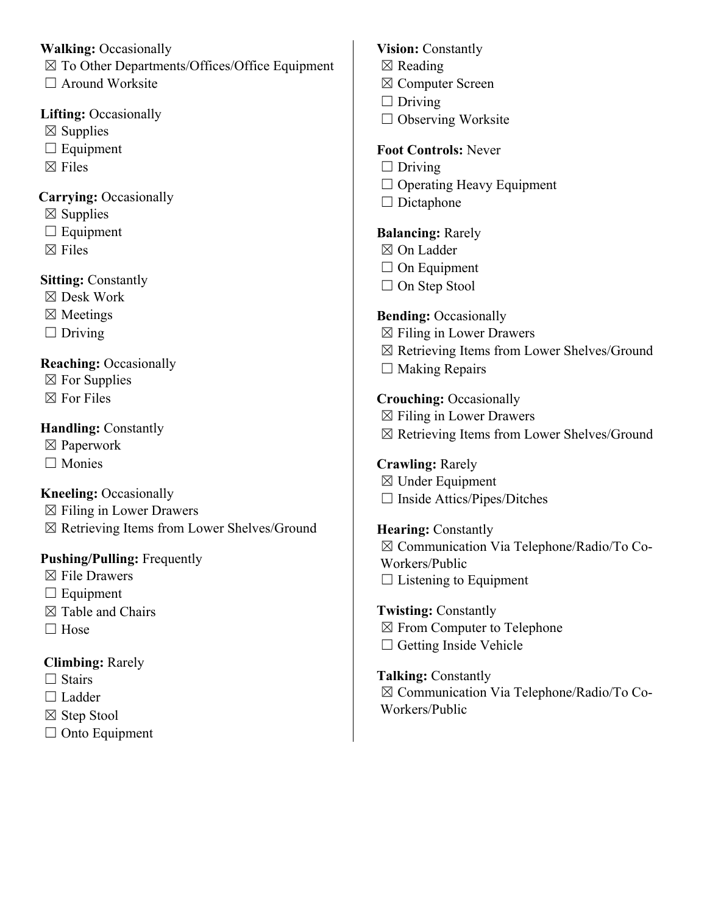#### **Walking:** Occasionally

☒ To Other Departments/Offices/Office Equipment

□ Around Worksite

## **Lifting:** Occasionally

- $\boxtimes$  Supplies
- $\Box$  Equipment
- $\boxtimes$  Files

## **Carrying:** Occasionally

- $\boxtimes$  Supplies
- □ Equipment
- $\boxtimes$  Files

# **Sitting:** Constantly

- ☒ Desk Work
- ☒ Meetings
- $\Box$  Driving

## **Reaching: Occasionally**

- $\boxtimes$  For Supplies
- $\boxtimes$  For Files

## **Handling: Constantly**

- ☒ Paperwork
- □ Monies

# **Kneeling: Occasionally**

- $\boxtimes$  Filing in Lower Drawers
- ☒ Retrieving Items from Lower Shelves/Ground

# **Pushing/Pulling:** Frequently

- ☒ File Drawers
- $\Box$  Equipment
- $\boxtimes$  Table and Chairs
- □ Hose

# **Climbing:** Rarely

- $\Box$  Stairs
- □ Ladder
- ☒ Step Stool
- □ Onto Equipment

## **Vision:** Constantly

- ☒ Reading
- ☒ Computer Screen
- $\Box$  Driving
- □ Observing Worksite

# **Foot Controls:** Never

- $\Box$  Driving
- ☐ Operating Heavy Equipment
- $\Box$  Dictaphone

# **Balancing:** Rarely

- ☒ On Ladder
- □ On Equipment
- □ On Step Stool

# **Bending: Occasionally**

- $\boxtimes$  Filing in Lower Drawers
- ☒ Retrieving Items from Lower Shelves/Ground
- $\Box$  Making Repairs

# **Crouching:** Occasionally

- $\boxtimes$  Filing in Lower Drawers
- ☒ Retrieving Items from Lower Shelves/Ground

## **Crawling:** Rarely

 $\boxtimes$  Under Equipment ☐ Inside Attics/Pipes/Ditches

# **Hearing:** Constantly

☒ Communication Via Telephone/Radio/To Co-Workers/Public  $\Box$  Listening to Equipment

## **Twisting:** Constantly ☒ From Computer to Telephone  $\Box$  Getting Inside Vehicle

### **Talking:** Constantly ☒ Communication Via Telephone/Radio/To Co-Workers/Public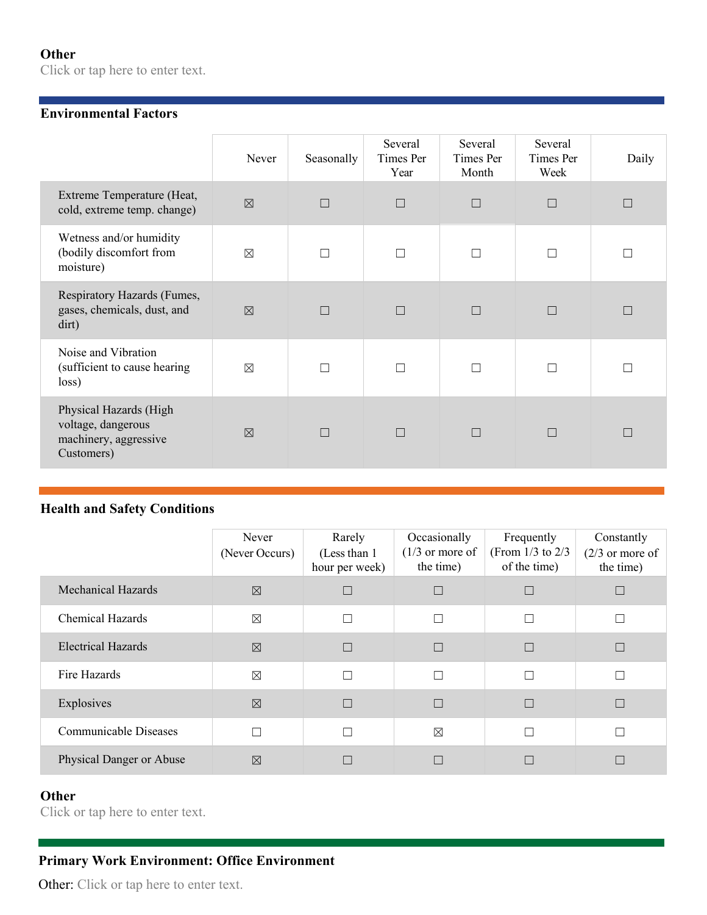## **Other**

Click or tap here to enter text.

#### **Environmental Factors**

|                                                                                     | Never       | Seasonally | Several<br>Times Per<br>Year | Several<br>Times Per<br>Month | Several<br>Times Per<br>Week | Daily |
|-------------------------------------------------------------------------------------|-------------|------------|------------------------------|-------------------------------|------------------------------|-------|
| Extreme Temperature (Heat,<br>cold, extreme temp. change)                           | $\boxtimes$ | П          | $\Box$                       | $\Box$                        | $\Box$                       |       |
| Wetness and/or humidity<br>(bodily discomfort from<br>moisture)                     | $\boxtimes$ |            | П                            |                               | П                            |       |
| Respiratory Hazards (Fumes,<br>gases, chemicals, dust, and<br>dirt)                 | $\boxtimes$ |            | $\Box$                       |                               | $\Box$                       |       |
| Noise and Vibration<br>(sufficient to cause hearing<br>loss)                        | $\boxtimes$ |            | $\Box$                       |                               | П                            |       |
| Physical Hazards (High<br>voltage, dangerous<br>machinery, aggressive<br>Customers) | $\nabla$    | П          | $\Box$                       | П                             | $\Box$                       | П     |

#### **Health and Safety Conditions**

|                           | Never<br>(Never Occurs) | Rarely<br>(Less than 1)<br>hour per week) | Occasionally<br>$(1/3)$ or more of<br>the time) | Frequently<br>(From $1/3$ to $2/3$<br>of the time) | Constantly<br>$(2/3)$ or more of<br>the time) |
|---------------------------|-------------------------|-------------------------------------------|-------------------------------------------------|----------------------------------------------------|-----------------------------------------------|
| <b>Mechanical Hazards</b> | $\boxtimes$             | $\Box$                                    |                                                 |                                                    |                                               |
| <b>Chemical Hazards</b>   | $\boxtimes$             | $\Box$                                    | П                                               | П                                                  |                                               |
| <b>Electrical Hazards</b> | $\boxtimes$             | $\Box$                                    | П                                               |                                                    |                                               |
| Fire Hazards              | $\boxtimes$             | $\Box$                                    | П                                               | П                                                  |                                               |
| Explosives                | $\boxtimes$             | $\Box$                                    | П                                               |                                                    |                                               |
| Communicable Diseases     |                         | $\Box$                                    | $\boxtimes$                                     | П                                                  |                                               |
| Physical Danger or Abuse  | $\boxtimes$             | П                                         |                                                 |                                                    |                                               |

## **Other**

Click or tap here to enter text.

## **Primary Work Environment: Office Environment**

Other: Click or tap here to enter text.